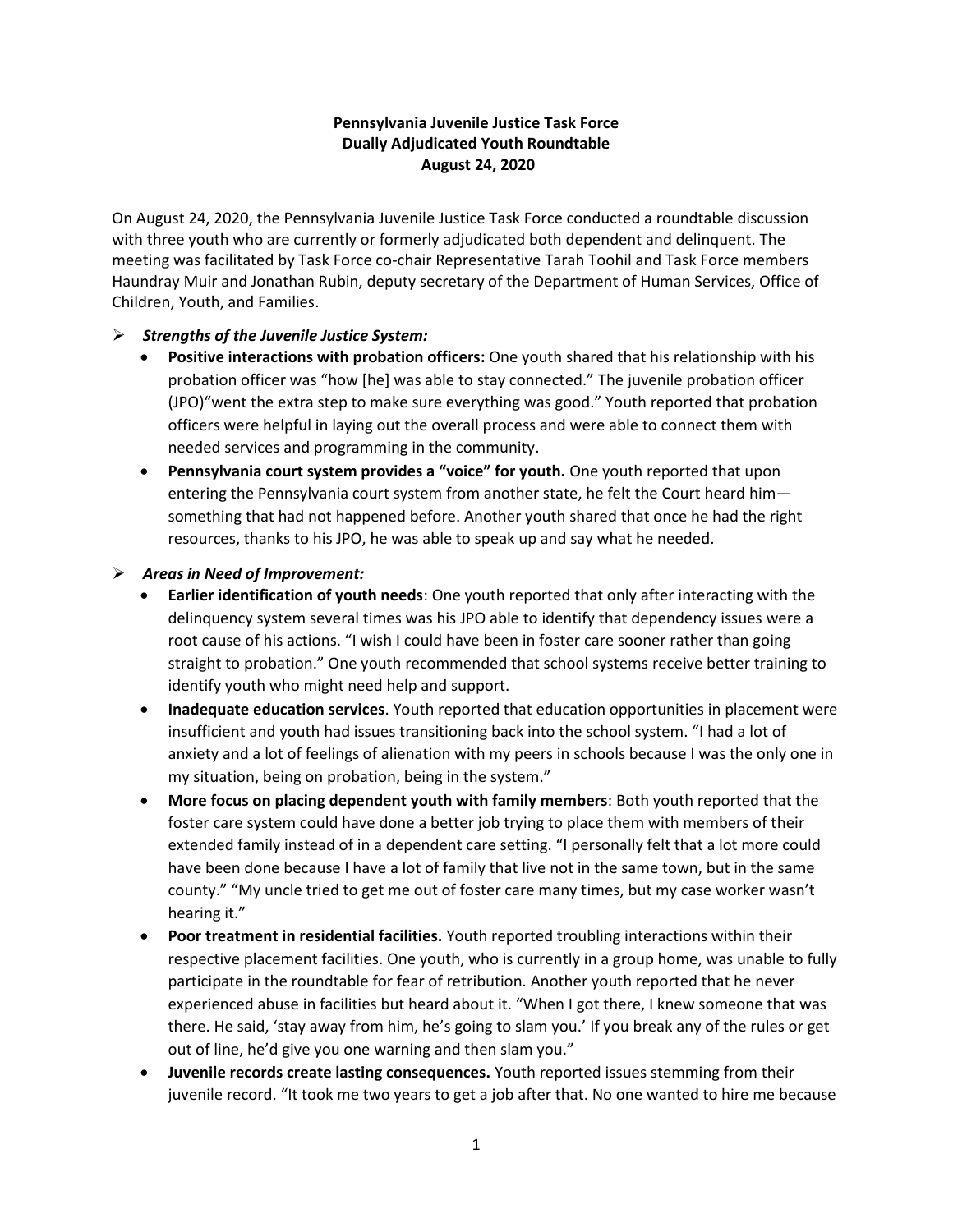## **Pennsylvania Juvenile Justice Task Force Dually Adjudicated Youth Roundtable August 24, 2020**

On August 24, 2020, the Pennsylvania Juvenile Justice Task Force conducted a roundtable discussion with three youth who are currently or formerly adjudicated both dependent and delinquent. The meeting was facilitated by Task Force co-chair Representative Tarah Toohil and Task Force members Haundray Muir and Jonathan Rubin, deputy secretary of the Department of Human Services, Office of Children, Youth, and Families.

## ➢ *Strengths of the Juvenile Justice System:*

- **Positive interactions with probation officers:** One youth shared that his relationship with his probation officer was "how [he] was able to stay connected." The juvenile probation officer (JPO)"went the extra step to make sure everything was good." Youth reported that probation officers were helpful in laying out the overall process and were able to connect them with needed services and programming in the community.
- **Pennsylvania court system provides a "voice" for youth.** One youth reported that upon entering the Pennsylvania court system from another state, he felt the Court heard him something that had not happened before. Another youth shared that once he had the right resources, thanks to his JPO, he was able to speak up and say what he needed.
- ➢ *Areas in Need of Improvement:* 
	- **Earlier identification of youth needs**: One youth reported that only after interacting with the delinquency system several times was his JPO able to identify that dependency issues were a root cause of his actions. "I wish I could have been in foster care sooner rather than going straight to probation." One youth recommended that school systems receive better training to identify youth who might need help and support.
	- **Inadequate education services**. Youth reported that education opportunities in placement were insufficient and youth had issues transitioning back into the school system. "I had a lot of anxiety and a lot of feelings of alienation with my peers in schools because I was the only one in my situation, being on probation, being in the system."
	- **More focus on placing dependent youth with family members**: Both youth reported that the foster care system could have done a better job trying to place them with members of their extended family instead of in a dependent care setting. "I personally felt that a lot more could have been done because I have a lot of family that live not in the same town, but in the same county." "My uncle tried to get me out of foster care many times, but my case worker wasn't hearing it."
	- **Poor treatment in residential facilities.** Youth reported troubling interactions within their respective placement facilities. One youth, who is currently in a group home, was unable to fully participate in the roundtable for fear of retribution. Another youth reported that he never experienced abuse in facilities but heard about it. "When I got there, I knew someone that was there. He said, 'stay away from him, he's going to slam you.' If you break any of the rules or get out of line, he'd give you one warning and then slam you."
	- **Juvenile records create lasting consequences.** Youth reported issues stemming from their juvenile record. "It took me two years to get a job after that. No one wanted to hire me because